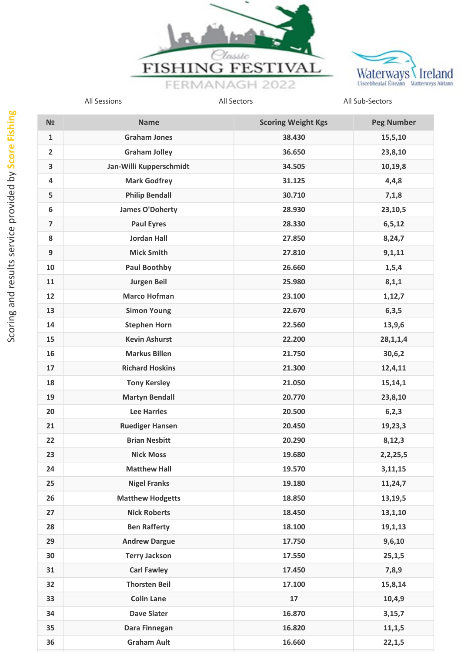



| N <sub>2</sub>          | <b>Name</b>             | <b>Scoring Weight Kgs</b> | <b>Peg Number</b> |
|-------------------------|-------------------------|---------------------------|-------------------|
| $\mathbf{1}$            | <b>Graham Jones</b>     | 38.430                    | 15,5,10           |
| $\overline{2}$          | <b>Graham Jolley</b>    | 36.650                    | 23,8,10           |
| 3                       | Jan-Willi Kupperschmidt | 34.505                    | 10,19,8           |
| 4                       | <b>Mark Godfrey</b>     | 31.125                    | 4,4,8             |
| 5                       | <b>Philip Bendall</b>   | 30.710                    | 7,1,8             |
| 6                       | <b>James O'Doherty</b>  | 28.930                    | 23,10,5           |
| $\overline{\mathbf{z}}$ | <b>Paul Eyres</b>       | 28.330                    | 6, 5, 12          |
| 8                       | <b>Jordan Hall</b>      | 27.850                    | 8,24,7            |
| 9                       | <b>Mick Smith</b>       | 27.810                    | 9,1,11            |
| 10                      | <b>Paul Boothby</b>     | 26.660                    | 1, 5, 4           |
| 11                      | <b>Jurgen Beil</b>      | 25.980                    | 8,1,1             |
| 12                      | <b>Marco Hofman</b>     | 23.100                    | 1,12,7            |
| 13                      | <b>Simon Young</b>      | 22.670                    | 6, 3, 5           |
| 14                      | <b>Stephen Horn</b>     | 22.560                    | 13,9,6            |
| 15                      | <b>Kevin Ashurst</b>    | 22.200                    | 28, 1, 1, 4       |
| 16                      | <b>Markus Billen</b>    | 21.750                    | 30,6,2            |
| 17                      | <b>Richard Hoskins</b>  | 21.300                    | 12,4,11           |
| 18                      | <b>Tony Kersley</b>     | 21.050                    | 15,14,1           |
| 19                      | <b>Martyn Bendall</b>   | 20.770                    | 23,8,10           |
| 20                      | <b>Lee Harries</b>      | 20.500                    | 6, 2, 3           |
| 21                      | <b>Ruediger Hansen</b>  | 20.450                    | 19,23,3           |
| 22                      | <b>Brian Nesbitt</b>    | 20.290                    | 8,12,3            |
| 23                      | <b>Nick Moss</b>        | 19.680                    | 2,2,25,5          |
| 24                      | <b>Matthew Hall</b>     | 19.570                    | 3,11,15           |
| 25                      | <b>Nigel Franks</b>     | 19.180                    | 11,24,7           |
| 26                      | <b>Matthew Hodgetts</b> | 18.850                    | 13,19,5           |
| 27                      | <b>Nick Roberts</b>     | 18.450                    | 13,1,10           |
| 28                      | <b>Ben Rafferty</b>     | 18.100                    | 19,1,13           |
| 29                      | <b>Andrew Dargue</b>    | 17.750                    | 9,6,10            |
| 30                      | <b>Terry Jackson</b>    | 17.550                    | 25,1,5            |
| 31                      | <b>Carl Fawley</b>      | 17.450                    | 7,8,9             |
| 32                      | <b>Thorsten Beil</b>    | 17.100                    | 15,8,14           |
| 33                      | <b>Colin Lane</b>       | 17                        | 10, 4, 9          |
| 34                      | <b>Dave Slater</b>      | 16.870                    | 3,15,7            |
| 35                      | Dara Finnegan           | 16.820                    | 11,1,5            |
| 36                      | <b>Graham Ault</b>      | 16.660                    | 22,1,5            |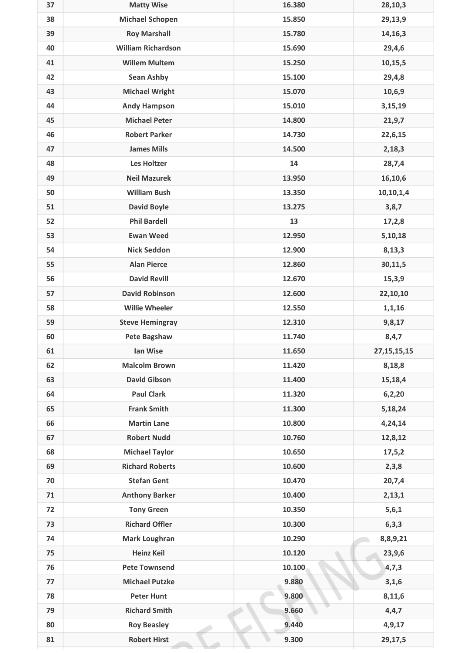| 37 | <b>Matty Wise</b>         | 16.380 | 28,10,3        |
|----|---------------------------|--------|----------------|
| 38 | <b>Michael Schopen</b>    | 15.850 | 29,13,9        |
| 39 | <b>Roy Marshall</b>       | 15.780 | 14,16,3        |
| 40 | <b>William Richardson</b> | 15.690 | 29,4,6         |
| 41 | <b>Willem Multem</b>      | 15.250 | 10,15,5        |
| 42 | <b>Sean Ashby</b>         | 15.100 | 29,4,8         |
| 43 | <b>Michael Wright</b>     | 15.070 | 10,6,9         |
| 44 | <b>Andy Hampson</b>       | 15.010 | 3,15,19        |
| 45 | <b>Michael Peter</b>      | 14.800 | 21, 9, 7       |
| 46 | <b>Robert Parker</b>      | 14.730 | 22,6,15        |
| 47 | <b>James Mills</b>        | 14.500 | 2,18,3         |
| 48 | <b>Les Holtzer</b>        | 14     | 28,7,4         |
| 49 | <b>Neil Mazurek</b>       | 13.950 | 16,10,6        |
| 50 | <b>William Bush</b>       | 13.350 | 10,10,1,4      |
| 51 | <b>David Boyle</b>        | 13.275 | 3,8,7          |
| 52 | <b>Phil Bardell</b>       | 13     | 17,2,8         |
| 53 | <b>Ewan Weed</b>          | 12.950 | 5,10,18        |
| 54 | <b>Nick Seddon</b>        | 12.900 | 8,13,3         |
| 55 | <b>Alan Pierce</b>        | 12.860 | 30,11,5        |
| 56 | <b>David Revill</b>       | 12.670 | 15,3,9         |
| 57 | <b>David Robinson</b>     | 12.600 | 22,10,10       |
| 58 | <b>Willie Wheeler</b>     | 12.550 | 1, 1, 16       |
| 59 | <b>Steve Hemingray</b>    | 12.310 | 9,8,17         |
| 60 | <b>Pete Bagshaw</b>       | 11.740 | 8,4,7          |
| 61 | lan Wise                  | 11.650 | 27, 15, 15, 15 |
| 62 | <b>Malcolm Brown</b>      | 11.420 | 8,18,8         |
| 63 | <b>David Gibson</b>       | 11.400 | 15,18,4        |
| 64 | <b>Paul Clark</b>         | 11.320 | 6, 2, 20       |
| 65 | <b>Frank Smith</b>        | 11.300 | 5,18,24        |
| 66 | <b>Martin Lane</b>        | 10.800 | 4,24,14        |
| 67 | <b>Robert Nudd</b>        | 10.760 | 12,8,12        |
| 68 | <b>Michael Taylor</b>     | 10.650 | 17, 5, 2       |
| 69 | <b>Richard Roberts</b>    | 10.600 | 2,3,8          |
| 70 | <b>Stefan Gent</b>        | 10.470 | 20,7,4         |
| 71 | <b>Anthony Barker</b>     | 10.400 | 2,13,1         |
| 72 | <b>Tony Green</b>         | 10.350 | 5, 6, 1        |
| 73 | <b>Richard Offler</b>     | 10.300 | 6, 3, 3        |
| 74 | <b>Mark Loughran</b>      | 10.290 | 8,8,9,21       |
| 75 | <b>Heinz Keil</b>         | 10.120 | 23,9,6         |
| 76 | <b>Pete Townsend</b>      | 10.100 | 4,7,3          |
| 77 | <b>Michael Putzke</b>     | 9.880  | 3,1,6          |
| 78 | <b>Peter Hunt</b>         | 9.800  | 8,11,6         |
| 79 | <b>Richard Smith</b>      | 9.660  | 4,4,7          |
| 80 | <b>Roy Beasley</b>        | 9.440  | 4, 9, 17       |
| 81 | <b>Robert Hirst</b>       | 9.300  | 29,17,5        |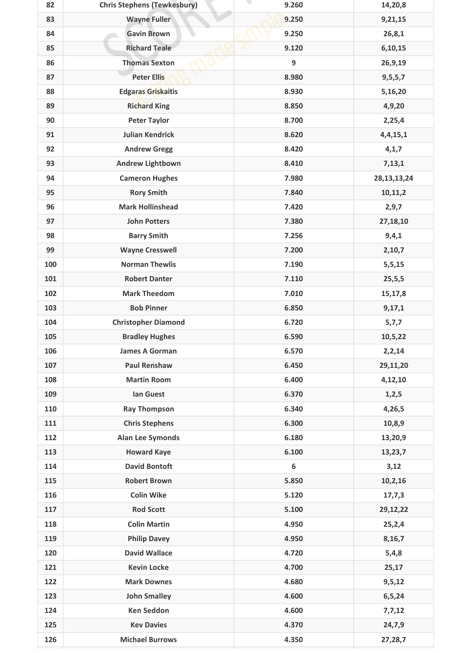| 82  | <b>Chris Stephens (Tewkesbury)</b> | 9.260            | 14,20,8        |
|-----|------------------------------------|------------------|----------------|
| 83  | <b>Wayne Fuller</b>                | 9.250            | 9,21,15        |
| 84  | <b>Gavin Brown</b>                 | 9.250            | 26,8,1         |
| 85  | <b>Richard Teale</b>               | 9.120            | 6,10,15        |
| 86  | <b>Thomas Sexton</b>               | 9                | 26,9,19        |
| 87  | <b>Peter Ellis</b>                 | 8.980            | 9,5,5,7        |
| 88  | <b>Edgaras Griskaitis</b>          | 8.930            | 5,16,20        |
| 89  | <b>Richard King</b>                | 8.850            | 4,9,20         |
| 90  | <b>Peter Taylor</b>                | 8.700            | 2,25,4         |
| 91  | <b>Julian Kendrick</b>             | 8.620            | 4,4,15,1       |
| 92  | <b>Andrew Gregg</b>                | 8.420            | 4, 1, 7        |
| 93  | <b>Andrew Lightbown</b>            | 8.410            | 7,13,1         |
| 94  | <b>Cameron Hughes</b>              | 7.980            | 28, 13, 13, 24 |
| 95  | <b>Rory Smith</b>                  | 7.840            | 10,11,2        |
| 96  | <b>Mark Hollinshead</b>            | 7.420            | 2, 9, 7        |
| 97  | <b>John Potters</b>                | 7.380            | 27,18,10       |
| 98  | <b>Barry Smith</b>                 | 7.256            | 9,4,1          |
| 99  | <b>Wayne Cresswell</b>             | 7.200            | 2,10,7         |
| 100 | <b>Norman Thewlis</b>              | 7.190            | 5,5,15         |
| 101 | <b>Robert Danter</b>               | 7.110            | 25, 5, 5       |
| 102 | <b>Mark Theedom</b>                | 7.010            | 15,17,8        |
| 103 | <b>Bob Pinner</b>                  | 6.850            | 9,17,1         |
| 104 | <b>Christopher Diamond</b>         | 6.720            | 5,7,7          |
| 105 | <b>Bradley Hughes</b>              | 6.590            | 10,5,22        |
| 106 | <b>James A Gorman</b>              | 6.570            | 2,2,14         |
| 107 | <b>Paul Renshaw</b>                | 6.450            | 29,11,20       |
| 108 | <b>Martin Room</b>                 | 6.400            | 4,12,10        |
| 109 | <b>Ian Guest</b>                   | 6.370            | 1, 2, 5        |
| 110 | <b>Ray Thompson</b>                | 6.340            | 4,26,5         |
| 111 | <b>Chris Stephens</b>              | 6.300            | 10,8,9         |
| 112 | <b>Alan Lee Symonds</b>            | 6.180            | 13,20,9        |
| 113 | <b>Howard Kaye</b>                 | 6.100            | 13,23,7        |
| 114 | <b>David Bontoft</b>               | $\boldsymbol{6}$ | 3,12           |
| 115 | <b>Robert Brown</b>                | 5.850            | 10,2,16        |
| 116 | <b>Colin Wike</b>                  | 5.120            | 17,7,3         |
| 117 | <b>Rod Scott</b>                   | 5.100            | 29,12,22       |
| 118 | <b>Colin Martin</b>                | 4.950            | 25,2,4         |
| 119 | <b>Philip Davey</b>                | 4.950            | 8,16,7         |
| 120 | <b>David Wallace</b>               | 4.720            | 5,4,8          |
| 121 | <b>Kevin Locke</b>                 | 4.700            | 25,17          |
| 122 | <b>Mark Downes</b>                 | 4.680            | 9, 5, 12       |
| 123 | <b>John Smalley</b>                | 4.600            | 6,5,24         |
| 124 | <b>Ken Seddon</b>                  | 4.600            | 7,7,12         |
| 125 | <b>Kev Davies</b>                  | 4.370            | 24,7,9         |
| 126 | <b>Michael Burrows</b>             | 4.350            | 27,28,7        |